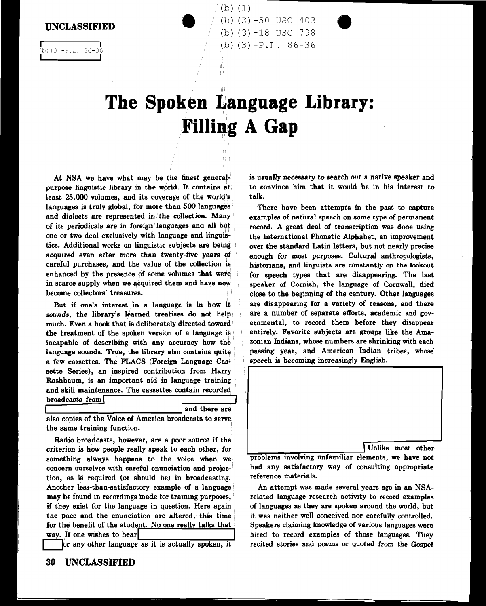UNCLASSIFIED

 $(3)-P.L. 86-$ 

(b) (3) -50 USC 403 (b) (3)-18 USC 798 (b) (3)-P.L. 86-36

## **The Spoken Language Library:** Filling A Gap

 $(b) (1)$ 

At NSA we have what may be the finest generalpurpose linguistic library in the world. It contains at least 25,000 volumes, and its coverage of the world's languages is truly global, for more than 500 languages and dialects are represented in the collection. Many of its periodicals are in foreign/languages and all but one or two deal exclusively with language and linguistics. Additional works on linguistic subjects are being acquired even after more than twenty-five years of careful purchases, and the value of the collection is enhanced by the presence of some volumes that were. in scarce supply when we acquired them and have now become collectors' treasures.

But if one's interest in a language is in how it *sounds,* the library's learned treatises do not help much. Even a book that is deliberately directed toward the treatment of the apoken version of a language is incapable of describing with any accuracy how the language sounds. True, the library also contains quite a few cassettes. The FLACS (Foreign Language Cassette Series), an inspired contribution from Harry Rashbaum, is an important aid in language training and skill maintenance. The cassettes contain recorded  $b$ roadcasts from

and there are

also copies of the Voice of America broadcasts to serve the same training function.

Radio broadcasts, however, are a poor source if the criterion is how people really speak to each other, for something always happens to the voice when we concern ourselves with careful enunciation and projection, as is required (or should be) in broadcasting. Another less-than-satisfactory example of a language may be found in recordings made for training purposes, if they exist for the language in question. Here again the pace and the enunciation are altered, this time for the benefit of the student. No one really talks that way. If one wishes to hear

or any other language as it is actually spoken, it

30 UNCLASSIFIED

is usuaJly necessary to search out a native speaker and to convince him that it would be in his interest to talk.

There have been attempts in the past to capture examples of natural speech on some type of permanent record. A great deal of transcription was done using the International Phonetic Alphabet, an improvement over the standard Latin letters, but not nearly precise enough for most purposes. Cultural anthropologists, historians, and linguists are constantly on the lookout for speech types that are disappearing. The last speaker of Cornish, the language of Cornwall, died close to the beginning of the century. Other languages are disappearing for a variety of reasons, and there are a number of separate efforts, academic and governmental, to record them before they disappear entirely. Favorite subjects are groups like the Amazonian Indians, whose numbers are shrinking with each passing year, and American Indian tribes, whose speech is becoming increasingly English.

Unlike most other<br>
problems involving unfamiliar elements, we have not had any satisfactory way of consulting appropriate reference materials.

An attempt was made several years ago in an NSArelated language research activity to record examples of languages as they are spoken around the world, but it was neither well conceived nor carefully controlled. Speakers claiming knowledge of various languages were hired to record examples of those languages. They recited stories and poems or quoted from the Gospel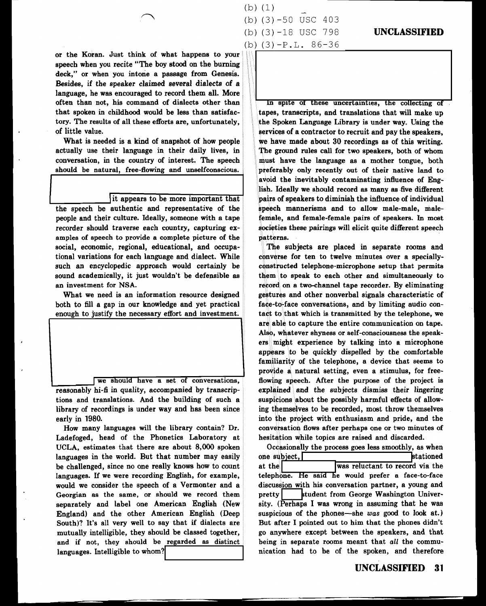or the Koran. Just think of what happens to your speech when you recite "The boy stood on the burning deck," or when you intone a passage from Genesis. Besides, if the speaker claimed several dialects of a language, he was encouraged to record them all. More often than not, his command of dialects other than that spoken in childhood would be less than satisfactory. The results of all these efforts are, unfortunately, of little value.

What is needed is a kind of snapshot of how people actually use their language in their daily lives, in conversation, in the country of interest. The speech should be natural, free-flowing and unselfconscious.

## it appears to be more important that

the speech be authentic and representative of the people and their culture. Ideally, someone with a tape recorder should traverse each country, capturing examples of speech to provide a complete picture of the social, economic, regional, educational, and occupational variations for each language and dialect. While such an encyclopedic approach would certainly be sound academically, it just wouldn't be defensible as an investment for NSA.

What we need is an information resource designed both to fill a gap in our knowledge and yet practical enough to justify the necessary effort and investment.

we should have a set of conversations, reasonably hi-fi in quality, accompanied by transcriptions and translations. And the building of such a library of recordings is under way and has been since early in 1980.

How many languages will the library contain? Dr. Ladefoged, head of the Phonetics Laboratory at UCLA, estimates that there are about 8,000 spoken languages in the world. But that number may easily be challenged, since no one really knows how to count languages. If we were recording English, for example, would we consider the speech of a Vermonter and a Georgian as the same, or should we record them separately and label one American English (New England) and the other American English (Deep South)? It's all very well to say that if dialects are mutually intelligible, they should be classed together, and if not, they should be regarded as distinct languages. Intelligible to whom?

 $(b)$   $(1)$ (b) (3) -50 USC 403 (b) (3)-18 USC 798 (b)  $(3) - P.L. 86-36$ 

## **UNCLASSIFIED**

In spite of these uncertainties, the collecting of tapes, transcripts, and translations that will make up .the Spoken Language Library is under way. Using the services of a contractor to recruit and pay the speakers, we have made about 30 recordings as of this writing. The ground rules call for two speakers, both of whom must have the language as a mother tongue, both preferably only recently out of their native land to avoid the inevitably contaminating influence of English. Ideally we should record as many as five different pairs of speakers to diminish the influence of individual speech mannerisms and to allow male-male, malefemale, and female-female pairs of speakers. In most societies these pairings will elicit quite different speech patterns.

The subjects are placed in separate rooms and converse for ten to twelve minutes over a speciallyconstructed telephone-microphone setup that permits them to speak to each other and simultaneously to record on a two-channel tape recorder. By eliminating gestures and other nonverbal signals characteristic of fa¢e-to•face conversations, and by limiting audio contact to that which is transmitted by the telephone, we are able to capture the entire communication on tape. Also, whatever shyness or self-consciousness the speakers might experience by talking into a microphone appears to be quickly dispelled by the comfortable familiarity of the telephone, a device that seems to provide a natural setting, even a stimulus, for freefiowing speech. After the purpose of the project is explained and the subjects dismiss their lingering suspicions about the possibly harmful effects of allowing themselves to be recorded, most throw themselves into the project with enthusiasm and pride, and the conversation flows after perhaps one or two minutes of hesitation while topics are raised and discarded.

Occasionally the process goes less smoothly, as when one subject, stationed at the was reluctant to record via the telephone. He said he would prefer a face-to-face discussion with his conversation partner, a young and pretty student from George Washington University. (Perhaps I was wrong in assuming that he was suspicious of the phones—she was good to look at.) But after I pointed out to him that the phones didn't go anywhere except between the speakers, and that being in separate rooms meant that *all* the communication had to be of the spoken, and therefore